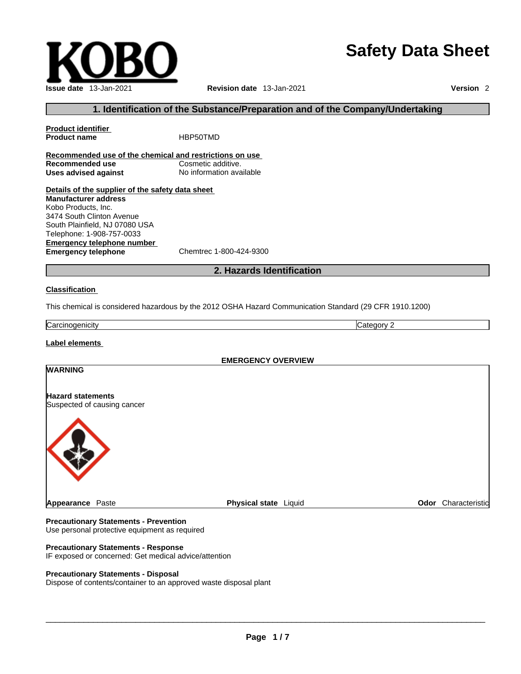## **Safety Data Sheet**



#### **1. Identification of the Substance/Preparation and of the Company/Undertaking**

**Product identifier Product name** HBP50TMD **Recommended use of the chemical and restrictions on use Recommended use**<br> **Uses advised against**<br> **Uses advised against**<br> **No information available Uses** advised against **Details of the supplier of the safety data sheet Emergency telephone number**<br> **Emergency telephone**<br>
Chemtrec 1-800-424-9300 **Emergency telephone Manufacturer address** Kobo Products, Inc. 3474 South Clinton Avenue South Plainfield, NJ 07080 USA Telephone: 1-908-757-0033

#### **2. Hazards Identification**

#### **Classification**

This chemical is considered hazardous by the 2012 OSHA Hazard Communication Standard (29 CFR 1910.1200)

Carcinogenicity Category 2

#### **Label elements**

# **EMERGENCY OVERVIEW WARNING Hazard statements** Suspected of causing cancer **Appearance Paste <b>Physical state** Liquid **Physical state Community Physical State Physical State Physical State Physical State Physical State Physical State Physical State Physical State Physical State**

#### **Precautionary Statements - Prevention** Use personal protective equipment as required

#### **Precautionary Statements - Response**

IF exposed or concerned: Get medical advice/attention

#### **Precautionary Statements - Disposal**

Dispose of contents/container to an approved waste disposal plant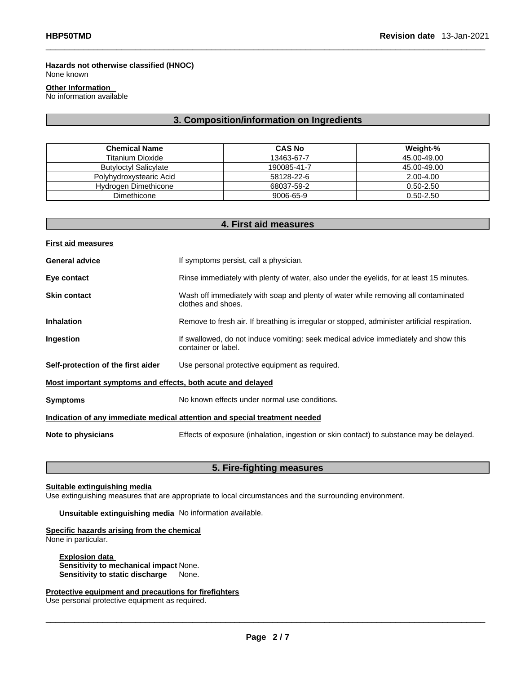#### **Hazards not otherwise classified (HNOC)**

None known

#### **Other Information**

No information available

#### **3. Composition/information on Ingredients**

| <b>Chemical Name</b>         | <b>CAS No</b> | Weight-%      |
|------------------------------|---------------|---------------|
| <b>Titanium Dioxide</b>      | 13463-67-7    | 45.00-49.00   |
| <b>Butyloctyl Salicylate</b> | 190085-41-7   | 45.00-49.00   |
| Polyhydroxystearic Acid      | 58128-22-6    | 2.00-4.00     |
| Hydrogen Dimethicone         | 68037-59-2    | $0.50 - 2.50$ |
| Dimethicone                  | 9006-65-9     | $0.50 - 2.50$ |

| 4. First aid measures                                                      |                                                                                                            |  |
|----------------------------------------------------------------------------|------------------------------------------------------------------------------------------------------------|--|
| <b>First aid measures</b>                                                  |                                                                                                            |  |
| <b>General advice</b>                                                      | If symptoms persist, call a physician.                                                                     |  |
| Eye contact                                                                | Rinse immediately with plenty of water, also under the eyelids, for at least 15 minutes.                   |  |
| <b>Skin contact</b>                                                        | Wash off immediately with soap and plenty of water while removing all contaminated<br>clothes and shoes.   |  |
| <b>Inhalation</b>                                                          | Remove to fresh air. If breathing is irregular or stopped, administer artificial respiration.              |  |
| Ingestion                                                                  | If swallowed, do not induce vomiting: seek medical advice immediately and show this<br>container or label. |  |
| Self-protection of the first aider                                         | Use personal protective equipment as required.                                                             |  |
| Most important symptoms and effects, both acute and delayed                |                                                                                                            |  |
| <b>Symptoms</b>                                                            | No known effects under normal use conditions.                                                              |  |
| Indication of any immediate medical attention and special treatment needed |                                                                                                            |  |
| Note to physicians                                                         | Effects of exposure (inhalation, ingestion or skin contact) to substance may be delayed.                   |  |

### **5. Fire-fighting measures**

#### **Suitable extinguishing media**

Use extinguishing measures that are appropriate to local circumstances and the surrounding environment.

**Unsuitable extinguishing media** No information available.

#### **Specific hazards arising from the chemical**

None in particular.

**Explosion data Sensitivity to mechanical impact** None. **Sensitivity to static discharge** None.

**Protective equipment and precautions for firefighters** Use personal protective equipment as required.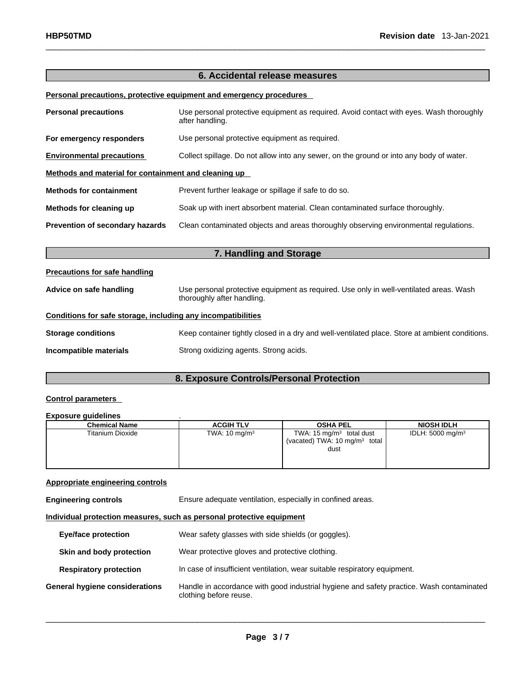#### **6. Accidental release measures**

#### **Personal precautions, protective equipment and emergency procedures**

| <b>Personal precautions</b>                                                                                             | Use personal protective equipment as required. Avoid contact with eyes. Wash thoroughly<br>after handling.           |  |  |
|-------------------------------------------------------------------------------------------------------------------------|----------------------------------------------------------------------------------------------------------------------|--|--|
| For emergency responders                                                                                                | Use personal protective equipment as required.                                                                       |  |  |
| <b>Environmental precautions</b>                                                                                        | Collect spillage. Do not allow into any sewer, on the ground or into any body of water.                              |  |  |
| Methods and material for containment and cleaning up                                                                    |                                                                                                                      |  |  |
| <b>Methods for containment</b>                                                                                          | Prevent further leakage or spillage if safe to do so.                                                                |  |  |
| Methods for cleaning up                                                                                                 | Soak up with inert absorbent material. Clean contaminated surface thoroughly.                                        |  |  |
| Clean contaminated objects and areas thoroughly observing environmental regulations.<br>Prevention of secondary hazards |                                                                                                                      |  |  |
|                                                                                                                         | 7. Handling and Storage                                                                                              |  |  |
| <b>Precautions for safe handling</b>                                                                                    |                                                                                                                      |  |  |
| Advice on safe handling                                                                                                 | Use personal protective equipment as required. Use only in well-ventilated areas. Wash<br>thoroughly after handling. |  |  |
| Conditions for safe storage, including any incompatibilities                                                            |                                                                                                                      |  |  |
| <b>Storage conditions</b>                                                                                               | Keep container tightly closed in a dry and well-ventilated place. Store at ambient conditions.                       |  |  |
|                                                                                                                         |                                                                                                                      |  |  |

**Incompatible materials Strong oxidizing agents. Strong acids.** 

### **8. Exposure Controls/Personal Protection**

#### **Control parameters**

#### **Exposure guidelines** .

| <b>Chemical Name</b>    | <b>ACGIH TLV</b>         | <b>OSHA PEL</b>                          | <b>NIOSH IDLH</b>           |
|-------------------------|--------------------------|------------------------------------------|-----------------------------|
| <b>Titanium Dioxide</b> | TWA: $10 \text{ mg/m}^3$ | TWA: 15 $mg/m3$ total dust               | IDLH: $5000 \text{ mg/m}^3$ |
|                         |                          | (vacated) TWA: $10 \text{ mg/m}^3$ total |                             |
|                         |                          | dust                                     |                             |
|                         |                          |                                          |                             |
|                         |                          |                                          |                             |

#### **Appropriate engineering controls**

**Engineering controls** Ensure adequate ventilation, especially in confined areas.

**Individual protection measures, such as personal protective equipment**

| <b>Eye/face protection</b>            | Wear safety glasses with side shields (or goggles).                                                                |
|---------------------------------------|--------------------------------------------------------------------------------------------------------------------|
| Skin and body protection              | Wear protective gloves and protective clothing.                                                                    |
| <b>Respiratory protection</b>         | In case of insufficient ventilation, wear suitable respiratory equipment.                                          |
| <b>General hygiene considerations</b> | Handle in accordance with good industrial hygiene and safety practice. Wash contaminated<br>clothing before reuse. |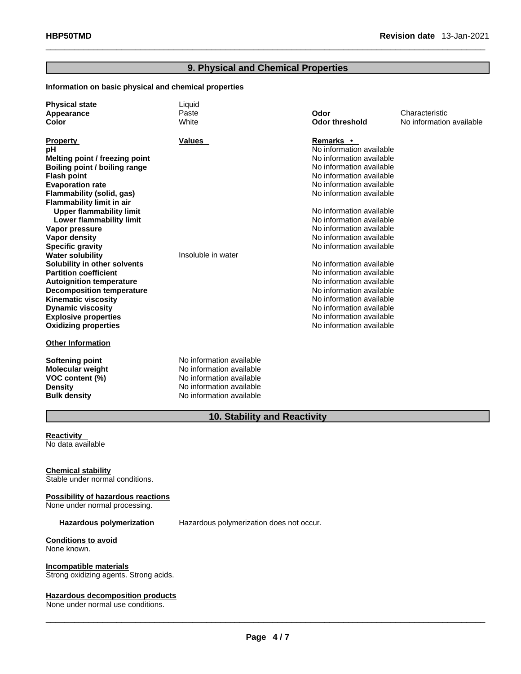#### **9. Physical and Chemical Properties**

#### **Information on basic physical and chemical properties**

| <b>Physical state</b><br>Appearance<br><b>Color</b>         | Liquid<br>Paste<br>White | Odor<br><b>Odor threshold</b> | Characteristic<br>No information available |
|-------------------------------------------------------------|--------------------------|-------------------------------|--------------------------------------------|
| <b>Property</b>                                             | <b>Values</b>            | Remarks •                     |                                            |
| рH                                                          |                          | No information available      |                                            |
| Melting point / freezing point                              |                          | No information available      |                                            |
| Boiling point / boiling range                               |                          | No information available      |                                            |
| <b>Flash point</b>                                          |                          | No information available      |                                            |
| <b>Evaporation rate</b>                                     |                          | No information available      |                                            |
| Flammability (solid, gas)                                   |                          | No information available      |                                            |
| <b>Flammability limit in air</b>                            |                          | No information available      |                                            |
| <b>Upper flammability limit</b><br>Lower flammability limit |                          | No information available      |                                            |
| Vapor pressure                                              |                          | No information available      |                                            |
| <b>Vapor density</b>                                        |                          | No information available      |                                            |
| <b>Specific gravity</b>                                     |                          | No information available      |                                            |
| <b>Water solubility</b>                                     | Insoluble in water       |                               |                                            |
| Solubility in other solvents                                |                          | No information available      |                                            |
| <b>Partition coefficient</b>                                |                          | No information available      |                                            |
| <b>Autoignition temperature</b>                             |                          | No information available      |                                            |
| <b>Decomposition temperature</b>                            |                          | No information available      |                                            |
| <b>Kinematic viscosity</b>                                  |                          | No information available      |                                            |
| <b>Dynamic viscosity</b>                                    |                          | No information available      |                                            |
| <b>Explosive properties</b>                                 |                          | No information available      |                                            |
| <b>Oxidizing properties</b>                                 |                          | No information available      |                                            |
| <b>Other Information</b>                                    |                          |                               |                                            |
| Softening point                                             | No information available |                               |                                            |
| <b>Molecular weight</b>                                     | No information available |                               |                                            |
| VOC content (%)                                             | No information available |                               |                                            |
| <b>Density</b>                                              | No information available |                               |                                            |
| <b>Bulk density</b>                                         | No information available |                               |                                            |

#### **10. Stability and Reactivity**

#### **Reactivity**  No data available

#### **Chemical stability** Stable under normal conditions.

#### **Possibility of hazardous reactions**

None under normal processing.

**Hazardous polymerization** Hazardous polymerization does not occur.

**Conditions to avoid** None known.

## **Incompatible materials**

Strong oxidizing agents. Strong acids.

#### **Hazardous decomposition products**

None under normal use conditions.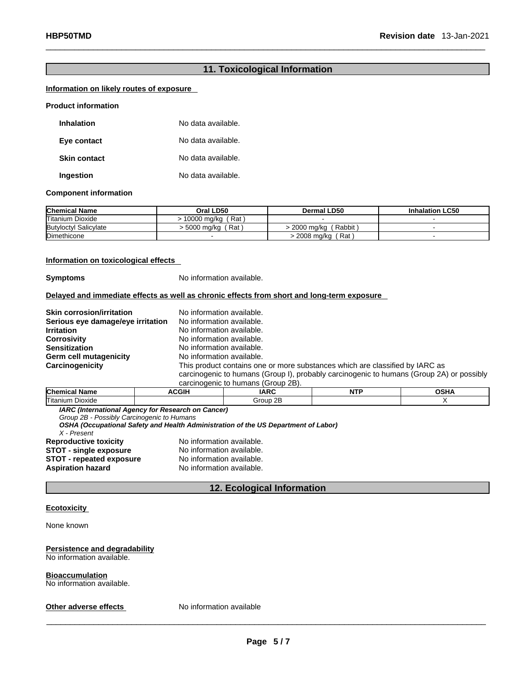#### **11. Toxicological Information**

#### **Information on likely routes of exposure**

#### **Product information**

| Inhalation          | No data available. |
|---------------------|--------------------|
| Eye contact         | No data available. |
| <b>Skin contact</b> | No data available. |
| Ingestion           | No data available. |

#### **Component information**

| <b>Chemical Name</b>         | Oral LD50             | Dermal LD50                | <b>Inhalation LC50</b> |
|------------------------------|-----------------------|----------------------------|------------------------|
| <b>Titanium Dioxide</b>      | (Rat)<br>10000 ma/ka( |                            |                        |
| <b>Butyloctyl Salicylate</b> | Rat<br>-5000 ma/ka    | ( Rabbit ˈ<br>> 2000 ma/ka |                        |
| Dimethicone                  |                       | 2008 mg/kg (Rat)           |                        |

#### **Information on toxicological effects**

**Symptoms** No information available.

#### **Delayed and immediate effects as well as chronic effects from short and long-term exposure**

| <b>Skin corrosion/irritation</b>  | No information available.                                                                |
|-----------------------------------|------------------------------------------------------------------------------------------|
| Serious eye damage/eye irritation | No information available.                                                                |
| <b>Irritation</b>                 | No information available.                                                                |
| <b>Corrosivity</b>                | No information available.                                                                |
| <b>Sensitization</b>              | No information available.                                                                |
| Germ cell mutagenicity            | No information available.                                                                |
| Carcinogenicity                   | This product contains one or more substances which are classified by IARC as             |
|                                   | carcinogenic to humans (Group I), probably carcinogenic to humans (Group 2A) or possibly |
|                                   | carcinogenic to humans (Group 2B).                                                       |

| <b>Chen</b>               | CGIH | IAPC            | <b>NTP</b> | $\sim$ $\sim$ $\sim$ |
|---------------------------|------|-----------------|------------|----------------------|
| ⊢.<br>l I itan<br>Jioxide |      | ΩF<br>"r<br>-11 |            |                      |

*IARC (International Agency for Research on Cancer)*

*Group 2B - Possibly Carcinogenic to Humans* 

*OSHA (Occupational Safety and Health Administration of the US Department of Labor)*

*X - Present*  **Reproductive toxicity No information available.**<br>**STOT - single exposure** No information available. **STOT** - **single exposure** No information available.<br>**STOT** - repeated exposure No information available. **STOT - repeated exposure**<br>**Aspiration hazard** 

**Aspiration hazard** No information available.

#### **12. Ecological Information**

#### **Ecotoxicity**

None known

#### **Persistence and degradability** No information available.

#### **Bioaccumulation**

No information available.

**Other adverse effects** No information available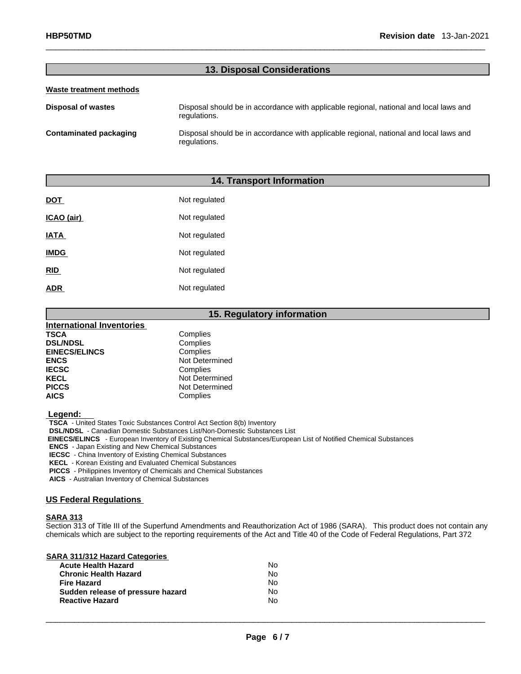#### **13. Disposal Considerations**

#### **Waste treatment methods**

**Disposal of wastes** Disposal should be in accordance with applicable regional, national and local laws and regulations. **Contaminated packaging** Disposal should be in accordance with applicable regional, national and local laws and regulations.

#### **14. Transport Information**

| <b>DOT</b>  | Not regulated |
|-------------|---------------|
| ICAO (air)  | Not regulated |
| <b>IATA</b> | Not regulated |
| <b>IMDG</b> | Not regulated |
| <b>RID</b>  | Not regulated |
| <b>ADR</b>  | Not regulated |

|                           | 15. Regulatory information |
|---------------------------|----------------------------|
| International Inventories |                            |
| <b>TSCA</b>               | Complies                   |
| <b>DSL/NDSL</b>           | Complies                   |
| <b>EINECS/ELINCS</b>      | Complies                   |
| <b>ENCS</b>               | Not Determined             |
| <b>IECSC</b>              | Complies                   |
| <b>KECL</b>               | Not Determined             |
| <b>PICCS</b>              | Not Determined             |
| <b>AICS</b>               | Complies                   |

 **Legend:** 

**TSCA** - United States Toxic Substances Control Act Section 8(b) Inventory

**DSL/NDSL** - Canadian Domestic Substances List/Non-Domestic Substances List

 **EINECS/ELINCS** - European Inventory of Existing Chemical Substances/European List of Notified Chemical Substances

**ENCS** - Japan Existing and New Chemical Substances

**IECSC** - China Inventory of Existing Chemical Substances

**KECL** - Korean Existing and Evaluated Chemical Substances

**PICCS** - Philippines Inventory of Chemicals and Chemical Substances

**AICS** - Australian Inventory of Chemical Substances

#### **US Federal Regulations**

#### **SARA 313**

Section 313 of Title III of the Superfund Amendments and Reauthorization Act of 1986 (SARA). This product does not contain any chemicals which are subject to the reporting requirements of the Act and Title 40 of the Code of Federal Regulations, Part 372

| SARA 311/312 Hazard Categories    |    |  |
|-----------------------------------|----|--|
| <b>Acute Health Hazard</b>        | No |  |
| <b>Chronic Health Hazard</b>      | No |  |
| <b>Fire Hazard</b>                | No |  |
| Sudden release of pressure hazard | Nο |  |
| <b>Reactive Hazard</b>            | No |  |